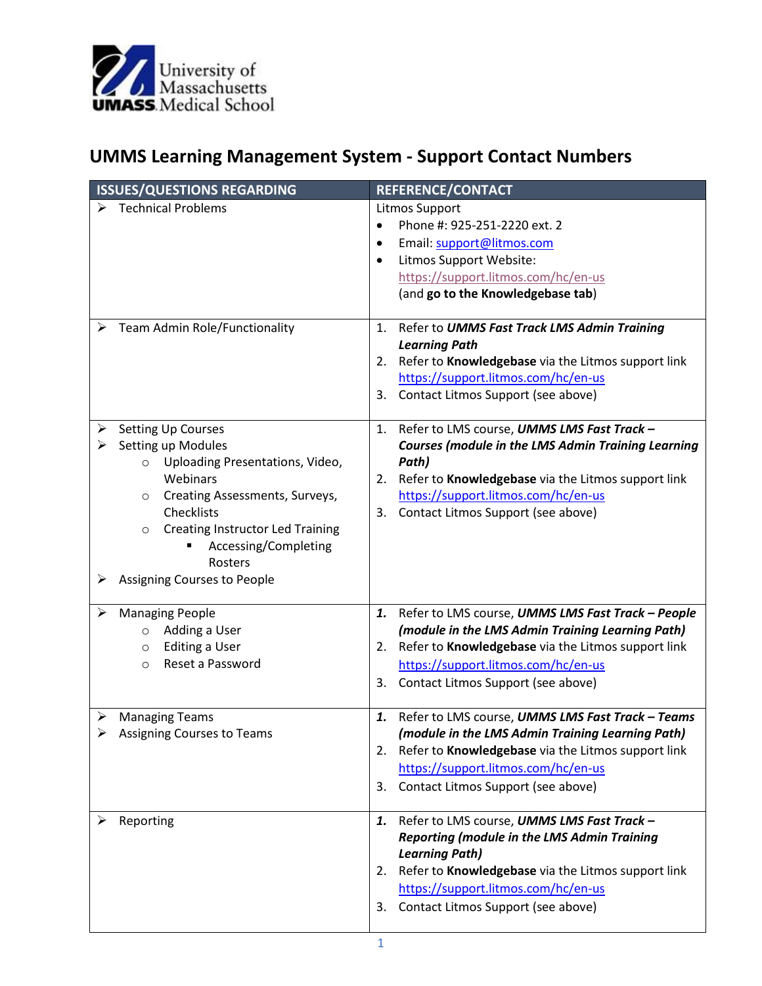

## **UMMS Learning Management System - Support Contact Numbers**

| <b>ISSUES/QUESTIONS REGARDING</b>                                          | REFERENCE/CONTACT                                         |
|----------------------------------------------------------------------------|-----------------------------------------------------------|
| <b>Technical Problems</b>                                                  | <b>Litmos Support</b>                                     |
|                                                                            | Phone #: 925-251-2220 ext. 2                              |
|                                                                            | Email: support@litmos.com<br>٠                            |
|                                                                            | Litmos Support Website:<br>$\bullet$                      |
|                                                                            | https://support.litmos.com/hc/en-us                       |
|                                                                            | (and go to the Knowledgebase tab)                         |
|                                                                            |                                                           |
| Team Admin Role/Functionality<br>➤                                         | 1. Refer to UMMS Fast Track LMS Admin Training            |
|                                                                            | <b>Learning Path</b>                                      |
|                                                                            | Refer to Knowledgebase via the Litmos support link<br>2.  |
|                                                                            | https://support.litmos.com/hc/en-us                       |
|                                                                            | Contact Litmos Support (see above)<br>3.                  |
|                                                                            |                                                           |
| <b>Setting Up Courses</b><br>➤                                             | Refer to LMS course, UMMS LMS Fast Track -<br>1.          |
| Setting up Modules<br>≻                                                    | <b>Courses (module in the LMS Admin Training Learning</b> |
| Uploading Presentations, Video,<br>$\circ$                                 | Path)                                                     |
| Webinars                                                                   | 2. Refer to Knowledgebase via the Litmos support link     |
| Creating Assessments, Surveys,<br>$\circ$<br>Checklists                    | https://support.litmos.com/hc/en-us                       |
|                                                                            | 3. Contact Litmos Support (see above)                     |
| <b>Creating Instructor Led Training</b><br>$\circ$<br>Accessing/Completing |                                                           |
| Rosters                                                                    |                                                           |
| Assigning Courses to People<br>➤                                           |                                                           |
|                                                                            |                                                           |
| <b>Managing People</b><br>➤                                                | Refer to LMS course, UMMS LMS Fast Track - People<br>1.   |
| Adding a User<br>$\circ$                                                   | (module in the LMS Admin Training Learning Path)          |
| <b>Editing a User</b><br>$\circ$                                           | Refer to Knowledgebase via the Litmos support link<br>2.  |
| Reset a Password<br>$\circ$                                                | https://support.litmos.com/hc/en-us                       |
|                                                                            | Contact Litmos Support (see above)<br>3.                  |
|                                                                            |                                                           |
| $\triangleright$ Managing Teams                                            | Refer to LMS course, UMMS LMS Fast Track - Teams<br>1.    |
| $\triangleright$ Assigning Courses to Teams                                | (module in the LMS Admin Training Learning Path)          |
|                                                                            | Refer to Knowledgebase via the Litmos support link<br>2.  |
|                                                                            | https://support.litmos.com/hc/en-us                       |
|                                                                            | Contact Litmos Support (see above)<br>3.                  |
|                                                                            |                                                           |
| Reporting                                                                  | Refer to LMS course, UMMS LMS Fast Track -<br>1.          |
|                                                                            | <b>Reporting (module in the LMS Admin Training</b>        |
|                                                                            | <b>Learning Path)</b>                                     |
|                                                                            | Refer to Knowledgebase via the Litmos support link<br>2.  |
|                                                                            | https://support.litmos.com/hc/en-us                       |
|                                                                            | 3. Contact Litmos Support (see above)                     |
|                                                                            |                                                           |